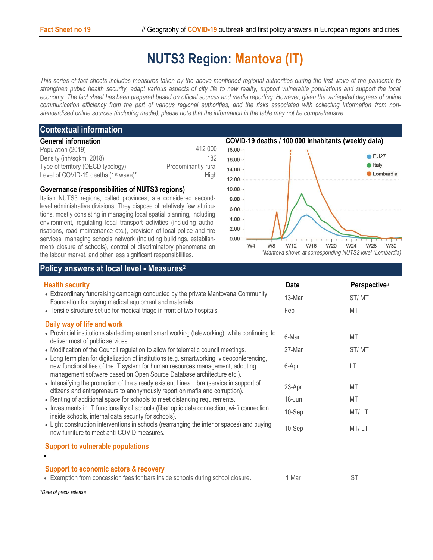## **NUTS3 Region: Mantova (IT)**

*This series of fact sheets includes measures taken by the above-mentioned regional authorities during the first wave of the pandemic to strengthen public health security, adapt various aspects of city life to new reality, support vulnerable populations and support the local economy. The fact sheet has been prepared based on official sources and media reporting. However, given the variegated degrees of online communication efficiency from the part of various regional authorities, and the risks associated with collecting information from nonstandardised online sources (including media), please note that the information in the table may not be comprehensive*.

## **Contextual information**

| General information <sup>1</sup>                 |                     |
|--------------------------------------------------|---------------------|
| Population (2019)                                | 412 000             |
| Density (inh/sqkm, 2018)                         | 182                 |
| Type of territory (OECD typology)                | Predominantly rural |
| Level of COVID-19 deaths (1 <sup>st</sup> wave)* | Hiah                |

## **Governance (responsibilities of NUTS3 regions)**

Italian NUTS3 regions, called provinces, are considered secondlevel administrative divisions. They dispose of relatively few attributions, mostly consisting in managing local spatial planning, including environment, regulating local transport activities (including authorisations, road maintenance etc.), provision of local police and fire services, managing schools network (including buildings, establishment/ closure of schools), control of discriminatory phenomena on the labour market, and other less significant responsibilities.



## **Policy answers at local level - Measures<sup>2</sup>**

| <b>Health security</b>                                                                                                                                                                                                                               | <b>Date</b> | Perspective <sup>3</sup> |
|------------------------------------------------------------------------------------------------------------------------------------------------------------------------------------------------------------------------------------------------------|-------------|--------------------------|
| • Extraordinary fundraising campaign conducted by the private Mantovana Community<br>Foundation for buying medical equipment and materials.                                                                                                          | 13-Mar      | ST/MT                    |
| • Tensile structure set up for medical triage in front of two hospitals.                                                                                                                                                                             | Feb         | MT                       |
| Daily way of life and work                                                                                                                                                                                                                           |             |                          |
| • Provincial institutions started implement smart working (teleworking), while continuing to<br>deliver most of public services.                                                                                                                     | 6-Mar       | MT                       |
| • Modification of the Council regulation to allow for telematic council meetings.                                                                                                                                                                    | 27-Mar      | ST/MT                    |
| • Long term plan for digitalization of institutions (e.g. smartworking, videoconferencing,<br>new functionalities of the IT system for human resources management, adopting<br>management software based on Open Source Database architecture etc.). | 6-Apr       | LT                       |
| • Intensifying the promotion of the already existent Linea Libra (service in support of<br>citizens and entrepreneurs to anonymously report on mafia and corruption).                                                                                | 23-Apr      | MT                       |
| • Renting of additional space for schools to meet distancing requirements.                                                                                                                                                                           | 18-Jun      | MT                       |
| • Investments in IT functionality of schools (fiber optic data connection, wi-fi connection<br>inside schools, internal data security for schools).                                                                                                  | 10-Sep      | MT/LT                    |
| • Light construction interventions in schools (rearranging the interior spaces) and buying<br>new furniture to meet anti-COVID measures.                                                                                                             | 10-Sep      | MT/LT                    |
| <b>Support to vulnerable populations</b>                                                                                                                                                                                                             |             |                          |
|                                                                                                                                                                                                                                                      |             |                          |
| <b>Support to economic actors &amp; recovery</b>                                                                                                                                                                                                     |             |                          |
| • Exemption from concession fees for bars inside schools during school closure.                                                                                                                                                                      | 1 Mar       | <b>ST</b>                |

*\*Date of press release*